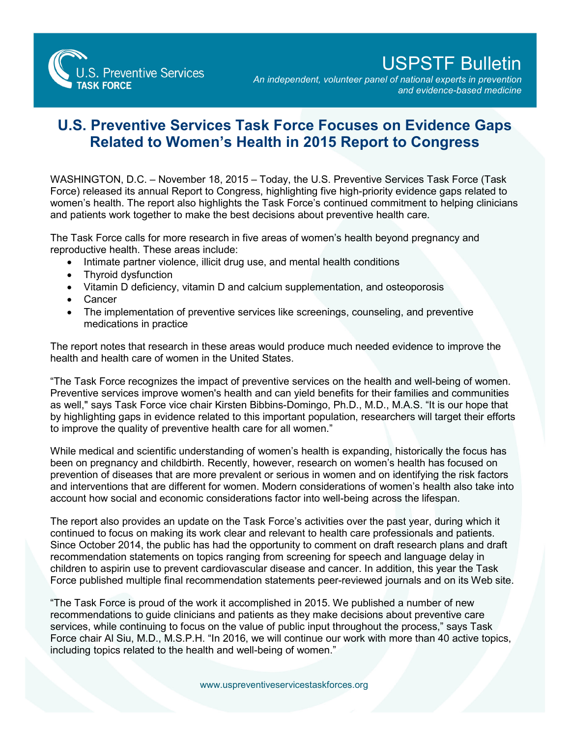S. Preventive Services **TASK FORCE** 

## USPSTF Bulletin

*An independent, volunteer panel of national experts in prevention and evidence-based medicine*

## **U.S. Preventive Services Task Force Focuses on Evidence Gaps Related to Women's Health in 2015 Report to Congress**

WASHINGTON, D.C. – November 18, 2015 – Today, the U.S. Preventive Services Task Force (Task Force) released its annual Report to Congress, highlighting five high-priority evidence gaps related to women's health. The report also highlights the Task Force's continued commitment to helping clinicians and patients work together to make the best decisions about preventive health care.

The Task Force calls for more research in five areas of women's health beyond pregnancy and reproductive health. These areas include:

- Intimate partner violence, illicit drug use, and mental health conditions
- Thyroid dysfunction
- Vitamin D deficiency, vitamin D and calcium supplementation, and osteoporosis
- Cancer
- The implementation of preventive services like screenings, counseling, and preventive medications in practice

The report notes that research in these areas would produce much needed evidence to improve the health and health care of women in the United States.

"The Task Force recognizes the impact of preventive services on the health and well-being of women. Preventive services improve women's health and can yield benefits for their families and communities as well," says Task Force vice chair Kirsten Bibbins-Domingo, Ph.D., M.D., M.A.S. "It is our hope that by highlighting gaps in evidence related to this important population, researchers will target their efforts to improve the quality of preventive health care for all women."

While medical and scientific understanding of women's health is expanding, historically the focus has been on pregnancy and childbirth. Recently, however, research on women's health has focused on prevention of diseases that are more prevalent or serious in women and on identifying the risk factors and interventions that are different for women. Modern considerations of women's health also take into account how social and economic considerations factor into well-being across the lifespan.

The report also provides an update on the Task Force's activities over the past year, during which it continued to focus on making its work clear and relevant to health care professionals and patients. Since October 2014, the public has had the opportunity to comment on draft research plans and draft recommendation statements on topics ranging from screening for speech and language delay in children to aspirin use to prevent cardiovascular disease and cancer. In addition, this year the Task Force published multiple final recommendation statements peer-reviewed journals and on its Web site.

"The Task Force is proud of the work it accomplished in 2015. We published a number of new recommendations to guide clinicians and patients as they make decisions about preventive care services, while continuing to focus on the value of public input throughout the process," says Task Force chair Al Siu, M.D., M.S.P.H. "In 2016, we will continue our work with more than 40 active topics, including topics related to the health and well-being of women."